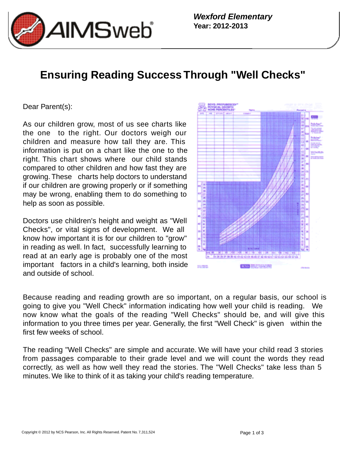

**Wexford Elementary Year: 2012-2013**

## **Ensuring Reading Success Through "Well Checks"**

## Dear Parent(s):

As our children grow, most of us see charts like the one to the right. Our doctors weigh our children and measure how tall they are. This information is put on a chart like the one to the right. This chart shows where our child stands compared to other children and how fast they are growing. These charts help doctors to understand if our children are growing properly or if something may be wrong, enabling them to do something to help as soon as possible.

Doctors use children's height and weight as "Well Checks", or vital signs of development. We all know how important it is for our children to "grow" in reading as well. In fact, successfully learning to read at an early age is probably one of the most important factors in a child's learning, both inside and outside of school.



Because reading and reading growth are so important, on a regular basis, our school is going to give you "Well Check" information indicating how well your child is reading. We now know what the goals of the reading "Well Checks" should be, and will give this information to you three times per year. Generally, the first "Well Check" is given within the first few weeks of school.

The reading "Well Checks" are simple and accurate. We will have your child read 3 stories from passages comparable to their grade level and we will count the words they read correctly, as well as how well they read the stories. The "Well Checks" take less than 5 minutes. We like to think of it as taking your child's reading temperature.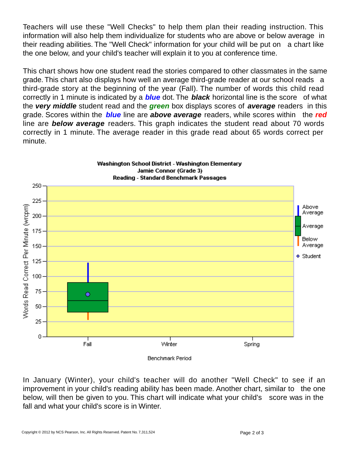Teachers will use these "Well Checks" to help them plan their reading instruction. This information will also help them individualize for students who are above or below average in their reading abilities. The "Well Check" information for your child will be put on a chart like the one below, and your child's teacher will explain it to you at conference time.

This chart shows how one student read the stories compared to other classmates in the same grade. This chart also displays how well an average third-grade reader at our school reads a third-grade story at the beginning of the year (Fall). The number of words this child read correctly in 1 minute is indicated by a **blue** dot. The **black** horizontal line is the score of what the **very middle** student read and the **green** box displays scores of **average** readers in this grade. Scores within the **blue** line are **above average** readers, while scores within the **red** line are **below average** readers. This graph indicates the student read about 70 words correctly in 1 minute. The average reader in this grade read about 65 words correct per minute.



In January (Winter), your child's teacher will do another "Well Check" to see if an improvement in your child's reading ability has been made. Another chart, similar to the one below, will then be given to you. This chart will indicate what your child's score was in the

fall and what your child's score is in Winter.